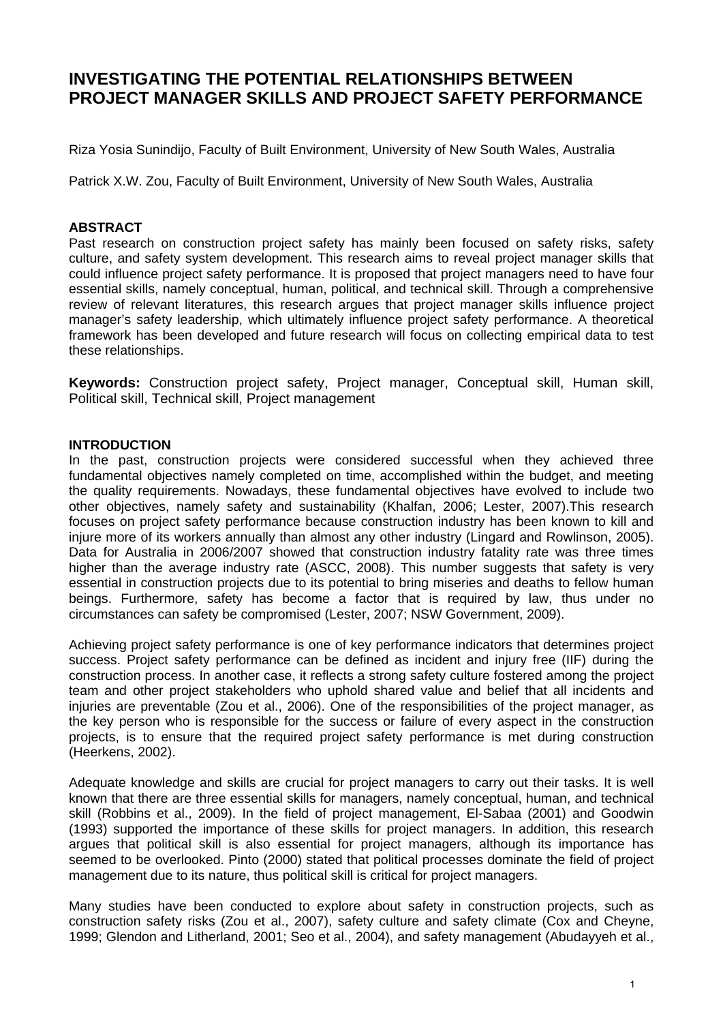# **INVESTIGATING THE POTENTIAL RELATIONSHIPS BETWEEN PROJECT MANAGER SKILLS AND PROJECT SAFETY PERFORMANCE**

Riza Yosia Sunindijo, Faculty of Built Environment, University of New South Wales, Australia

Patrick X.W. Zou, Faculty of Built Environment, University of New South Wales, Australia

#### **ABSTRACT**

Past research on construction project safety has mainly been focused on safety risks, safety culture, and safety system development. This research aims to reveal project manager skills that could influence project safety performance. It is proposed that project managers need to have four essential skills, namely conceptual, human, political, and technical skill. Through a comprehensive review of relevant literatures, this research argues that project manager skills influence project manager's safety leadership, which ultimately influence project safety performance. A theoretical framework has been developed and future research will focus on collecting empirical data to test these relationships.

**Keywords:** Construction project safety, Project manager, Conceptual skill, Human skill, Political skill, Technical skill, Project management

#### **INTRODUCTION**

In the past, construction projects were considered successful when they achieved three fundamental objectives namely completed on time, accomplished within the budget, and meeting the quality requirements. Nowadays, these fundamental objectives have evolved to include two other objectives, namely safety and sustainability (Khalfan, 2006; Lester, 2007).This research focuses on project safety performance because construction industry has been known to kill and injure more of its workers annually than almost any other industry (Lingard and Rowlinson, 2005). Data for Australia in 2006/2007 showed that construction industry fatality rate was three times higher than the average industry rate (ASCC, 2008). This number suggests that safety is very essential in construction projects due to its potential to bring miseries and deaths to fellow human beings. Furthermore, safety has become a factor that is required by law, thus under no circumstances can safety be compromised (Lester, 2007; NSW Government, 2009).

Achieving project safety performance is one of key performance indicators that determines project success. Project safety performance can be defined as incident and injury free (IIF) during the construction process. In another case, it reflects a strong safety culture fostered among the project team and other project stakeholders who uphold shared value and belief that all incidents and injuries are preventable (Zou et al., 2006). One of the responsibilities of the project manager, as the key person who is responsible for the success or failure of every aspect in the construction projects, is to ensure that the required project safety performance is met during construction (Heerkens, 2002).

Adequate knowledge and skills are crucial for project managers to carry out their tasks. It is well known that there are three essential skills for managers, namely conceptual, human, and technical skill (Robbins et al., 2009). In the field of project management, El-Sabaa (2001) and Goodwin (1993) supported the importance of these skills for project managers. In addition, this research argues that political skill is also essential for project managers, although its importance has seemed to be overlooked. Pinto (2000) stated that political processes dominate the field of project management due to its nature, thus political skill is critical for project managers.

Many studies have been conducted to explore about safety in construction projects, such as construction safety risks (Zou et al., 2007), safety culture and safety climate (Cox and Cheyne, 1999; Glendon and Litherland, 2001; Seo et al., 2004), and safety management (Abudayyeh et al.,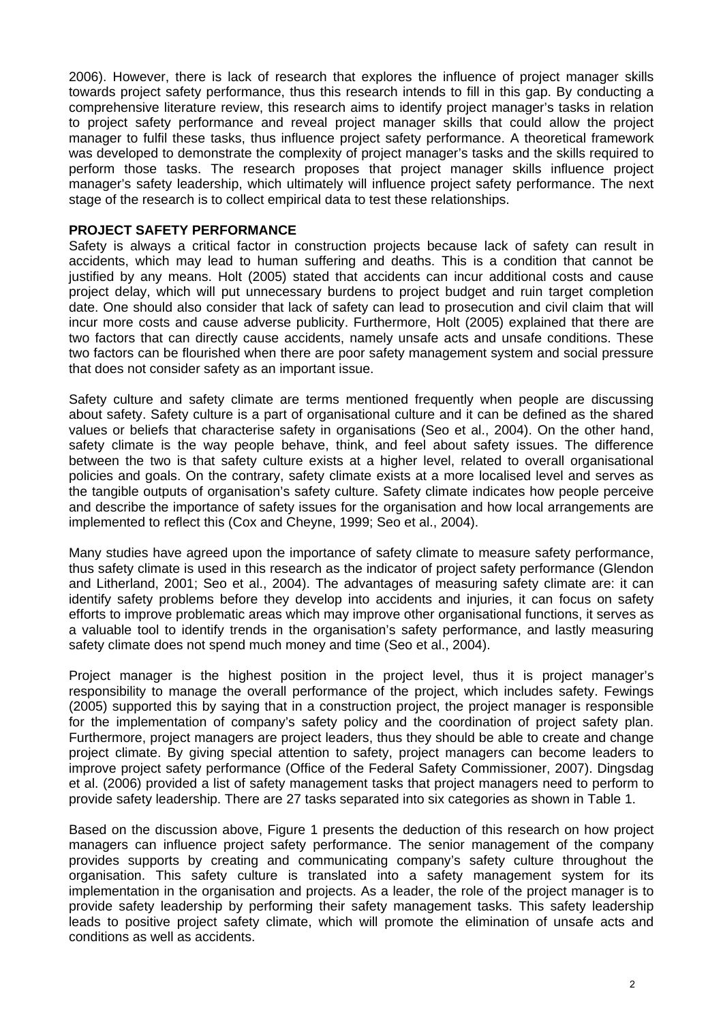2006). However, there is lack of research that explores the influence of project manager skills towards project safety performance, thus this research intends to fill in this gap. By conducting a comprehensive literature review, this research aims to identify project manager's tasks in relation to project safety performance and reveal project manager skills that could allow the project manager to fulfil these tasks, thus influence project safety performance. A theoretical framework was developed to demonstrate the complexity of project manager's tasks and the skills required to perform those tasks. The research proposes that project manager skills influence project manager's safety leadership, which ultimately will influence project safety performance. The next stage of the research is to collect empirical data to test these relationships.

#### **PROJECT SAFETY PERFORMANCE**

Safety is always a critical factor in construction projects because lack of safety can result in accidents, which may lead to human suffering and deaths. This is a condition that cannot be justified by any means. Holt (2005) stated that accidents can incur additional costs and cause project delay, which will put unnecessary burdens to project budget and ruin target completion date. One should also consider that lack of safety can lead to prosecution and civil claim that will incur more costs and cause adverse publicity. Furthermore, Holt (2005) explained that there are two factors that can directly cause accidents, namely unsafe acts and unsafe conditions. These two factors can be flourished when there are poor safety management system and social pressure that does not consider safety as an important issue.

Safety culture and safety climate are terms mentioned frequently when people are discussing about safety. Safety culture is a part of organisational culture and it can be defined as the shared values or beliefs that characterise safety in organisations (Seo et al., 2004). On the other hand, safety climate is the way people behave, think, and feel about safety issues. The difference between the two is that safety culture exists at a higher level, related to overall organisational policies and goals. On the contrary, safety climate exists at a more localised level and serves as the tangible outputs of organisation's safety culture. Safety climate indicates how people perceive and describe the importance of safety issues for the organisation and how local arrangements are implemented to reflect this (Cox and Cheyne, 1999; Seo et al., 2004).

Many studies have agreed upon the importance of safety climate to measure safety performance, thus safety climate is used in this research as the indicator of project safety performance (Glendon and Litherland, 2001; Seo et al., 2004). The advantages of measuring safety climate are: it can identify safety problems before they develop into accidents and injuries, it can focus on safety efforts to improve problematic areas which may improve other organisational functions, it serves as a valuable tool to identify trends in the organisation's safety performance, and lastly measuring safety climate does not spend much money and time (Seo et al., 2004).

Project manager is the highest position in the project level, thus it is project manager's responsibility to manage the overall performance of the project, which includes safety. Fewings (2005) supported this by saying that in a construction project, the project manager is responsible for the implementation of company's safety policy and the coordination of project safety plan. Furthermore, project managers are project leaders, thus they should be able to create and change project climate. By giving special attention to safety, project managers can become leaders to improve project safety performance (Office of the Federal Safety Commissioner, 2007). Dingsdag et al. (2006) provided a list of safety management tasks that project managers need to perform to provide safety leadership. There are 27 tasks separated into six categories as shown in Table 1.

Based on the discussion above, Figure 1 presents the deduction of this research on how project managers can influence project safety performance. The senior management of the company provides supports by creating and communicating company's safety culture throughout the organisation. This safety culture is translated into a safety management system for its implementation in the organisation and projects. As a leader, the role of the project manager is to provide safety leadership by performing their safety management tasks. This safety leadership leads to positive project safety climate, which will promote the elimination of unsafe acts and conditions as well as accidents.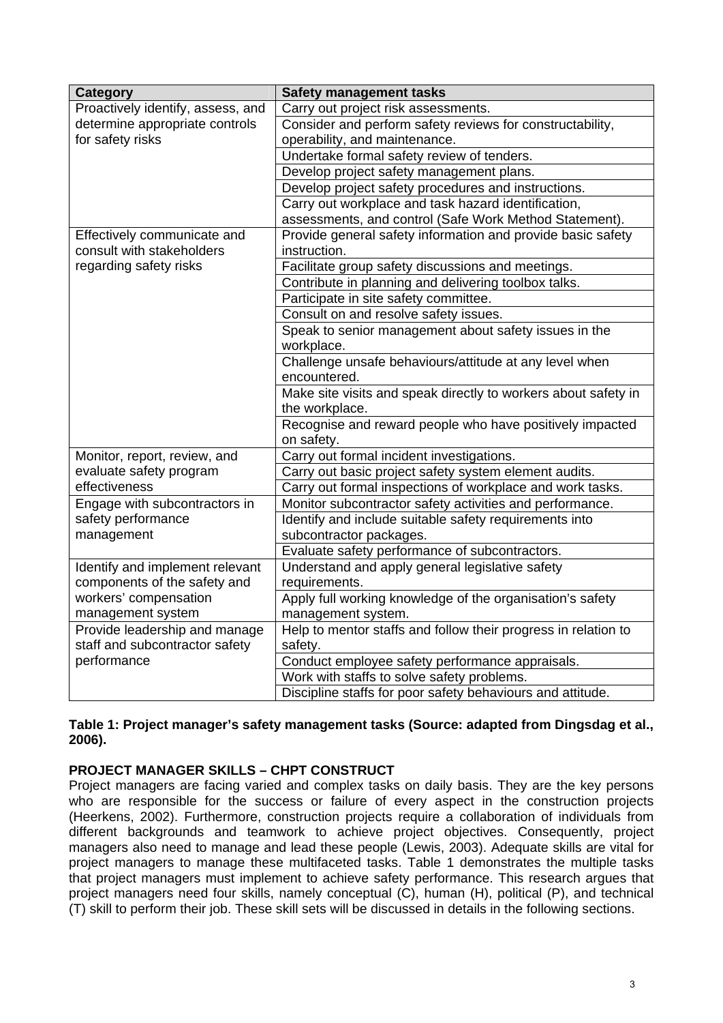| Category                          | <b>Safety management tasks</b>                                 |
|-----------------------------------|----------------------------------------------------------------|
| Proactively identify, assess, and | Carry out project risk assessments.                            |
| determine appropriate controls    | Consider and perform safety reviews for constructability,      |
| for safety risks                  | operability, and maintenance.                                  |
|                                   | Undertake formal safety review of tenders.                     |
|                                   | Develop project safety management plans.                       |
|                                   | Develop project safety procedures and instructions.            |
|                                   | Carry out workplace and task hazard identification,            |
|                                   | assessments, and control (Safe Work Method Statement).         |
| Effectively communicate and       | Provide general safety information and provide basic safety    |
| consult with stakeholders         | instruction.                                                   |
| regarding safety risks            | Facilitate group safety discussions and meetings.              |
|                                   | Contribute in planning and delivering toolbox talks.           |
|                                   | Participate in site safety committee.                          |
|                                   | Consult on and resolve safety issues.                          |
|                                   | Speak to senior management about safety issues in the          |
|                                   | workplace.                                                     |
|                                   | Challenge unsafe behaviours/attitude at any level when         |
|                                   | encountered.                                                   |
|                                   | Make site visits and speak directly to workers about safety in |
|                                   | the workplace.                                                 |
|                                   | Recognise and reward people who have positively impacted       |
|                                   | on safety.                                                     |
| Monitor, report, review, and      | Carry out formal incident investigations.                      |
| evaluate safety program           | Carry out basic project safety system element audits.          |
| effectiveness                     | Carry out formal inspections of workplace and work tasks.      |
| Engage with subcontractors in     | Monitor subcontractor safety activities and performance.       |
| safety performance                | Identify and include suitable safety requirements into         |
| management                        | subcontractor packages.                                        |
|                                   | Evaluate safety performance of subcontractors.                 |
| Identify and implement relevant   | Understand and apply general legislative safety                |
| components of the safety and      | requirements.                                                  |
| workers' compensation             | Apply full working knowledge of the organisation's safety      |
| management system                 | management system.                                             |
| Provide leadership and manage     | Help to mentor staffs and follow their progress in relation to |
| staff and subcontractor safety    | safety.                                                        |
| performance                       | Conduct employee safety performance appraisals.                |
|                                   | Work with staffs to solve safety problems.                     |
|                                   | Discipline staffs for poor safety behaviours and attitude.     |

# **Table 1: Project manager's safety management tasks (Source: adapted from Dingsdag et al., 2006).**

# **PROJECT MANAGER SKILLS – CHPT CONSTRUCT**

Project managers are facing varied and complex tasks on daily basis. They are the key persons who are responsible for the success or failure of every aspect in the construction projects (Heerkens, 2002). Furthermore, construction projects require a collaboration of individuals from different backgrounds and teamwork to achieve project objectives. Consequently, project managers also need to manage and lead these people (Lewis, 2003). Adequate skills are vital for project managers to manage these multifaceted tasks. Table 1 demonstrates the multiple tasks that project managers must implement to achieve safety performance. This research argues that project managers need four skills, namely conceptual (C), human (H), political (P), and technical (T) skill to perform their job. These skill sets will be discussed in details in the following sections.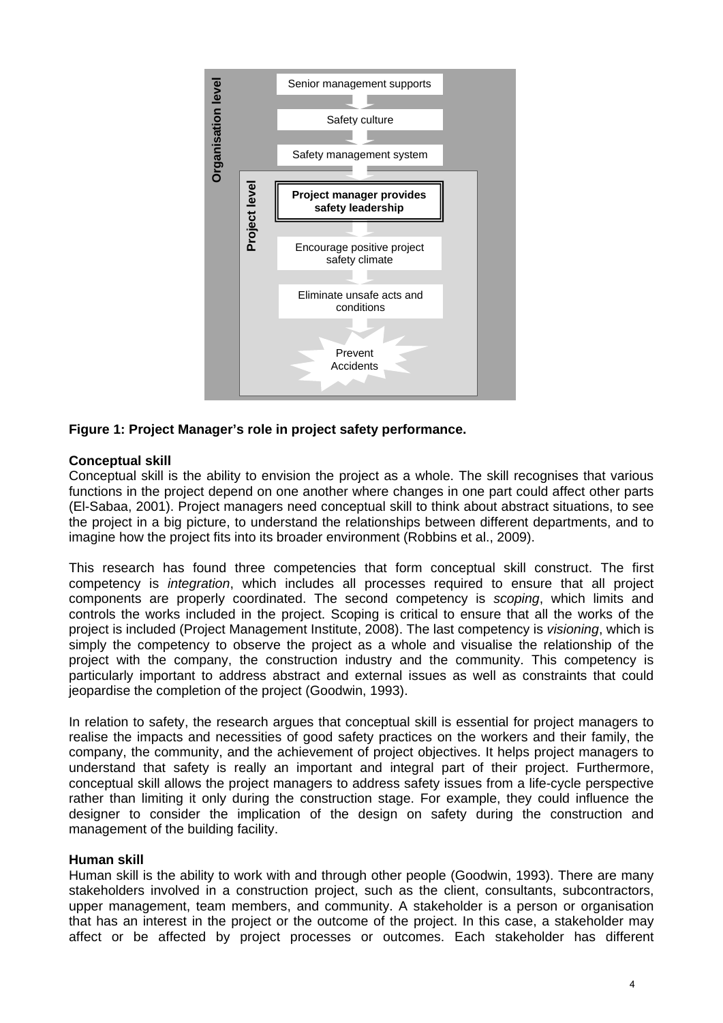

#### **Figure 1: Project Manager's role in project safety performance.**

#### **Conceptual skill**

Conceptual skill is the ability to envision the project as a whole. The skill recognises that various functions in the project depend on one another where changes in one part could affect other parts (El-Sabaa, 2001). Project managers need conceptual skill to think about abstract situations, to see the project in a big picture, to understand the relationships between different departments, and to imagine how the project fits into its broader environment (Robbins et al., 2009).

This research has found three competencies that form conceptual skill construct. The first competency is *integration*, which includes all processes required to ensure that all project components are properly coordinated. The second competency is *scoping*, which limits and controls the works included in the project. Scoping is critical to ensure that all the works of the project is included (Project Management Institute, 2008). The last competency is *visioning*, which is simply the competency to observe the project as a whole and visualise the relationship of the project with the company, the construction industry and the community. This competency is particularly important to address abstract and external issues as well as constraints that could jeopardise the completion of the project (Goodwin, 1993).

In relation to safety, the research argues that conceptual skill is essential for project managers to realise the impacts and necessities of good safety practices on the workers and their family, the company, the community, and the achievement of project objectives. It helps project managers to understand that safety is really an important and integral part of their project. Furthermore, conceptual skill allows the project managers to address safety issues from a life-cycle perspective rather than limiting it only during the construction stage. For example, they could influence the designer to consider the implication of the design on safety during the construction and management of the building facility.

#### **Human skill**

Human skill is the ability to work with and through other people (Goodwin, 1993). There are many stakeholders involved in a construction project, such as the client, consultants, subcontractors, upper management, team members, and community. A stakeholder is a person or organisation that has an interest in the project or the outcome of the project. In this case, a stakeholder may affect or be affected by project processes or outcomes. Each stakeholder has different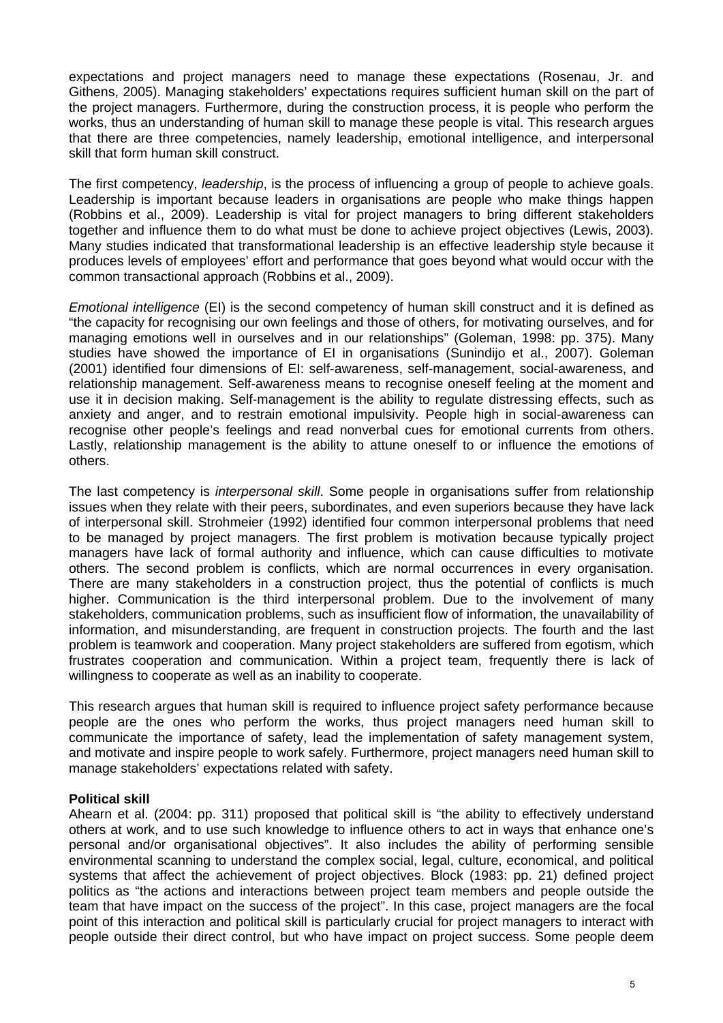expectations and project managers need to manage these expectations (Rosenau, Jr. and Githens, 2005). Managing stakeholders' expectations requires sufficient human skill on the part of the project managers. Furthermore, during the construction process, it is people who perform the works, thus an understanding of human skill to manage these people is vital. This research argues that there are three competencies, namely leadership, emotional intelligence, and interpersonal skill that form human skill construct.

The first competency, *leadership*, is the process of influencing a group of people to achieve goals. Leadership is important because leaders in organisations are people who make things happen (Robbins et al., 2009). Leadership is vital for project managers to bring different stakeholders together and influence them to do what must be done to achieve project objectives (Lewis, 2003). Many studies indicated that transformational leadership is an effective leadership style because it produces levels of employees' effort and performance that goes beyond what would occur with the common transactional approach (Robbins et al., 2009).

*Emotional intelligence* (EI) is the second competency of human skill construct and it is defined as "the capacity for recognising our own feelings and those of others, for motivating ourselves, and for managing emotions well in ourselves and in our relationships" (Goleman, 1998: pp. 375). Many studies have showed the importance of EI in organisations (Sunindijo et al., 2007). Goleman (2001) identified four dimensions of EI: self-awareness, self-management, social-awareness, and relationship management. Self-awareness means to recognise oneself feeling at the moment and use it in decision making. Self-management is the ability to regulate distressing effects, such as anxiety and anger, and to restrain emotional impulsivity. People high in social-awareness can recognise other people's feelings and read nonverbal cues for emotional currents from others. Lastly, relationship management is the ability to attune oneself to or influence the emotions of others.

The last competency is *interpersonal skill*. Some people in organisations suffer from relationship issues when they relate with their peers, subordinates, and even superiors because they have lack of interpersonal skill. Strohmeier (1992) identified four common interpersonal problems that need to be managed by project managers. The first problem is motivation because typically project managers have lack of formal authority and influence, which can cause difficulties to motivate others. The second problem is conflicts, which are normal occurrences in every organisation. There are many stakeholders in a construction project, thus the potential of conflicts is much higher. Communication is the third interpersonal problem. Due to the involvement of many stakeholders, communication problems, such as insufficient flow of information, the unavailability of information, and misunderstanding, are frequent in construction projects. The fourth and the last problem is teamwork and cooperation. Many project stakeholders are suffered from egotism, which frustrates cooperation and communication. Within a project team, frequently there is lack of willingness to cooperate as well as an inability to cooperate.

This research argues that human skill is required to influence project safety performance because people are the ones who perform the works, thus project managers need human skill to communicate the importance of safety, lead the implementation of safety management system, and motivate and inspire people to work safely. Furthermore, project managers need human skill to manage stakeholders' expectations related with safety.

# **Political skill**

Ahearn et al. (2004: pp. 311) proposed that political skill is "the ability to effectively understand others at work, and to use such knowledge to influence others to act in ways that enhance one's personal and/or organisational objectives". It also includes the ability of performing sensible environmental scanning to understand the complex social, legal, culture, economical, and political systems that affect the achievement of project objectives. Block (1983: pp. 21) defined project politics as "the actions and interactions between project team members and people outside the team that have impact on the success of the project". In this case, project managers are the focal point of this interaction and political skill is particularly crucial for project managers to interact with people outside their direct control, but who have impact on project success. Some people deem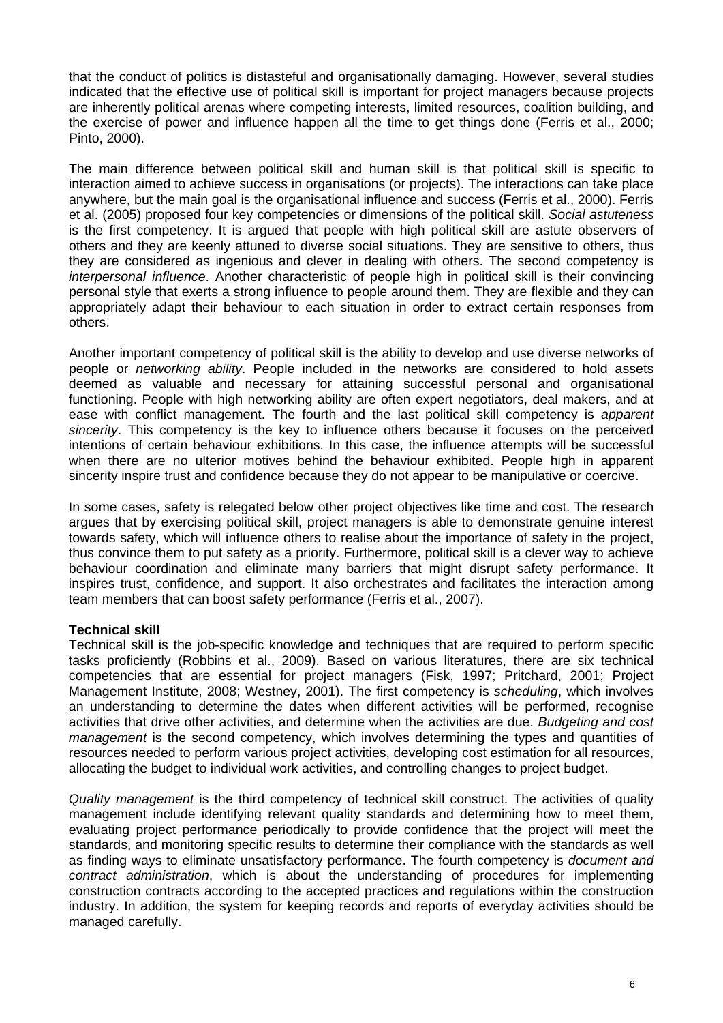that the conduct of politics is distasteful and organisationally damaging. However, several studies indicated that the effective use of political skill is important for project managers because projects are inherently political arenas where competing interests, limited resources, coalition building, and the exercise of power and influence happen all the time to get things done (Ferris et al., 2000; Pinto, 2000).

The main difference between political skill and human skill is that political skill is specific to interaction aimed to achieve success in organisations (or projects). The interactions can take place anywhere, but the main goal is the organisational influence and success (Ferris et al., 2000). Ferris et al. (2005) proposed four key competencies or dimensions of the political skill. *Social astuteness* is the first competency. It is argued that people with high political skill are astute observers of others and they are keenly attuned to diverse social situations. They are sensitive to others, thus they are considered as ingenious and clever in dealing with others. The second competency is *interpersonal influence*. Another characteristic of people high in political skill is their convincing personal style that exerts a strong influence to people around them. They are flexible and they can appropriately adapt their behaviour to each situation in order to extract certain responses from others.

Another important competency of political skill is the ability to develop and use diverse networks of people or *networking ability*. People included in the networks are considered to hold assets deemed as valuable and necessary for attaining successful personal and organisational functioning. People with high networking ability are often expert negotiators, deal makers, and at ease with conflict management. The fourth and the last political skill competency is *apparent sincerity*. This competency is the key to influence others because it focuses on the perceived intentions of certain behaviour exhibitions. In this case, the influence attempts will be successful when there are no ulterior motives behind the behaviour exhibited. People high in apparent sincerity inspire trust and confidence because they do not appear to be manipulative or coercive.

In some cases, safety is relegated below other project objectives like time and cost. The research argues that by exercising political skill, project managers is able to demonstrate genuine interest towards safety, which will influence others to realise about the importance of safety in the project, thus convince them to put safety as a priority. Furthermore, political skill is a clever way to achieve behaviour coordination and eliminate many barriers that might disrupt safety performance. It inspires trust, confidence, and support. It also orchestrates and facilitates the interaction among team members that can boost safety performance (Ferris et al., 2007).

# **Technical skill**

Technical skill is the job-specific knowledge and techniques that are required to perform specific tasks proficiently (Robbins et al., 2009). Based on various literatures, there are six technical competencies that are essential for project managers (Fisk, 1997; Pritchard, 2001; Project Management Institute, 2008; Westney, 2001). The first competency is *scheduling*, which involves an understanding to determine the dates when different activities will be performed, recognise activities that drive other activities, and determine when the activities are due. *Budgeting and cost management* is the second competency, which involves determining the types and quantities of resources needed to perform various project activities, developing cost estimation for all resources, allocating the budget to individual work activities, and controlling changes to project budget.

*Quality management* is the third competency of technical skill construct. The activities of quality management include identifying relevant quality standards and determining how to meet them, evaluating project performance periodically to provide confidence that the project will meet the standards, and monitoring specific results to determine their compliance with the standards as well as finding ways to eliminate unsatisfactory performance. The fourth competency is *document and contract administration*, which is about the understanding of procedures for implementing construction contracts according to the accepted practices and regulations within the construction industry. In addition, the system for keeping records and reports of everyday activities should be managed carefully.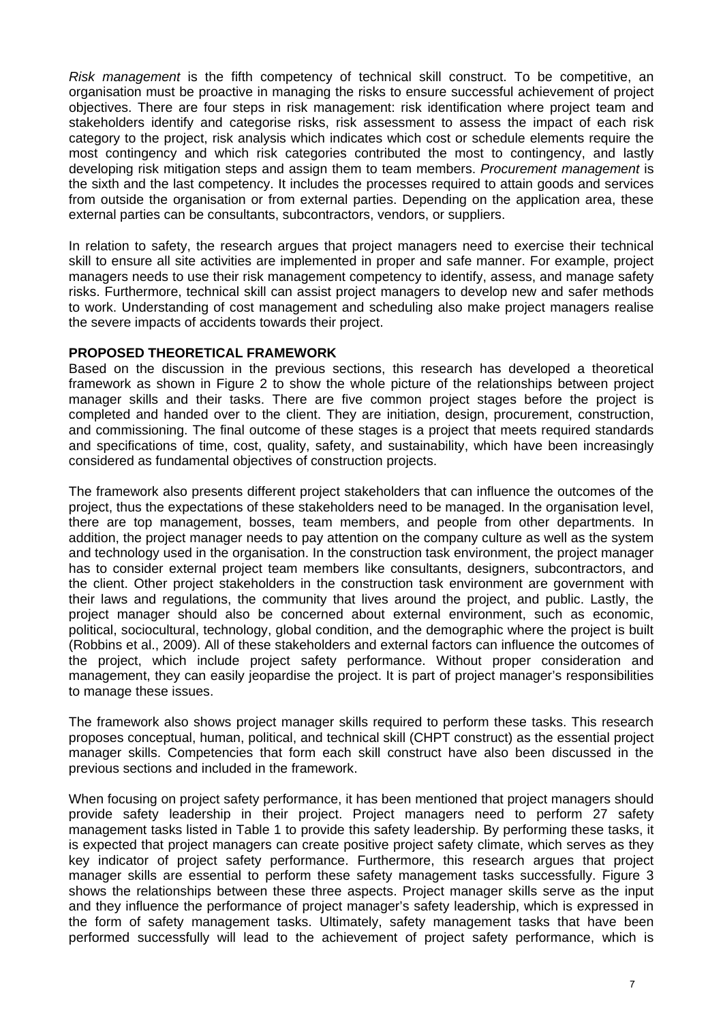*Risk management* is the fifth competency of technical skill construct. To be competitive, an organisation must be proactive in managing the risks to ensure successful achievement of project objectives. There are four steps in risk management: risk identification where project team and stakeholders identify and categorise risks, risk assessment to assess the impact of each risk category to the project, risk analysis which indicates which cost or schedule elements require the most contingency and which risk categories contributed the most to contingency, and lastly developing risk mitigation steps and assign them to team members. *Procurement management* is the sixth and the last competency. It includes the processes required to attain goods and services from outside the organisation or from external parties. Depending on the application area, these external parties can be consultants, subcontractors, vendors, or suppliers.

In relation to safety, the research argues that project managers need to exercise their technical skill to ensure all site activities are implemented in proper and safe manner. For example, project managers needs to use their risk management competency to identify, assess, and manage safety risks. Furthermore, technical skill can assist project managers to develop new and safer methods to work. Understanding of cost management and scheduling also make project managers realise the severe impacts of accidents towards their project.

# **PROPOSED THEORETICAL FRAMEWORK**

Based on the discussion in the previous sections, this research has developed a theoretical framework as shown in Figure 2 to show the whole picture of the relationships between project manager skills and their tasks. There are five common project stages before the project is completed and handed over to the client. They are initiation, design, procurement, construction, and commissioning. The final outcome of these stages is a project that meets required standards and specifications of time, cost, quality, safety, and sustainability, which have been increasingly considered as fundamental objectives of construction projects.

The framework also presents different project stakeholders that can influence the outcomes of the project, thus the expectations of these stakeholders need to be managed. In the organisation level, there are top management, bosses, team members, and people from other departments. In addition, the project manager needs to pay attention on the company culture as well as the system and technology used in the organisation. In the construction task environment, the project manager has to consider external project team members like consultants, designers, subcontractors, and the client. Other project stakeholders in the construction task environment are government with their laws and regulations, the community that lives around the project, and public. Lastly, the project manager should also be concerned about external environment, such as economic, political, sociocultural, technology, global condition, and the demographic where the project is built (Robbins et al., 2009). All of these stakeholders and external factors can influence the outcomes of the project, which include project safety performance. Without proper consideration and management, they can easily jeopardise the project. It is part of project manager's responsibilities to manage these issues.

The framework also shows project manager skills required to perform these tasks. This research proposes conceptual, human, political, and technical skill (CHPT construct) as the essential project manager skills. Competencies that form each skill construct have also been discussed in the previous sections and included in the framework.

When focusing on project safety performance, it has been mentioned that project managers should provide safety leadership in their project. Project managers need to perform 27 safety management tasks listed in Table 1 to provide this safety leadership. By performing these tasks, it is expected that project managers can create positive project safety climate, which serves as they key indicator of project safety performance. Furthermore, this research argues that project manager skills are essential to perform these safety management tasks successfully. Figure 3 shows the relationships between these three aspects. Project manager skills serve as the input and they influence the performance of project manager's safety leadership, which is expressed in the form of safety management tasks. Ultimately, safety management tasks that have been performed successfully will lead to the achievement of project safety performance, which is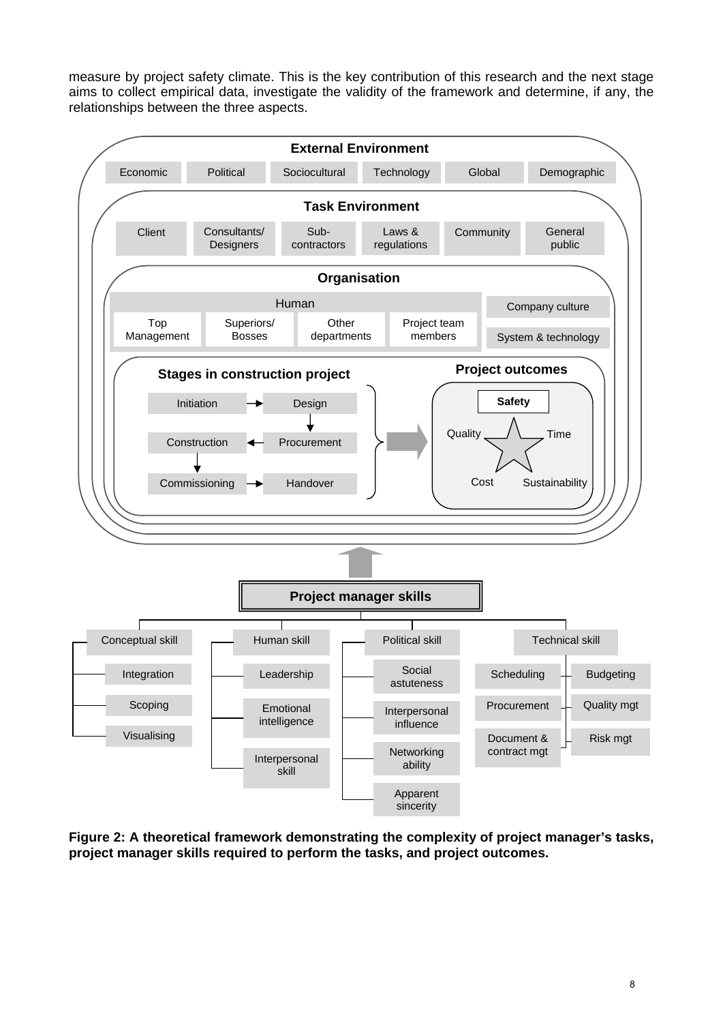measure by project safety climate. This is the key contribution of this research and the next stage aims to collect empirical data, investigate the validity of the framework and determine, if any, the relationships between the three aspects.



**Figure 2: A theoretical framework demonstrating the complexity of project manager's tasks, project manager skills required to perform the tasks, and project outcomes.**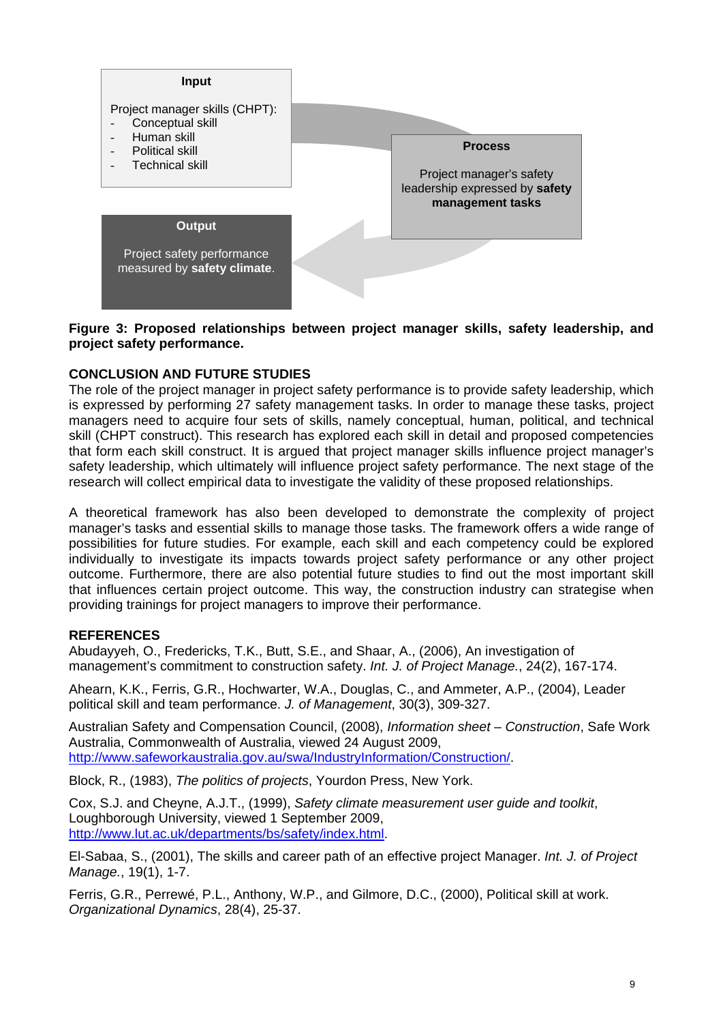

**Figure 3: Proposed relationships between project manager skills, safety leadership, and project safety performance.** 

# **CONCLUSION AND FUTURE STUDIES**

The role of the project manager in project safety performance is to provide safety leadership, which is expressed by performing 27 safety management tasks. In order to manage these tasks, project managers need to acquire four sets of skills, namely conceptual, human, political, and technical skill (CHPT construct). This research has explored each skill in detail and proposed competencies that form each skill construct. It is argued that project manager skills influence project manager's safety leadership, which ultimately will influence project safety performance. The next stage of the research will collect empirical data to investigate the validity of these proposed relationships.

A theoretical framework has also been developed to demonstrate the complexity of project manager's tasks and essential skills to manage those tasks. The framework offers a wide range of possibilities for future studies. For example, each skill and each competency could be explored individually to investigate its impacts towards project safety performance or any other project outcome. Furthermore, there are also potential future studies to find out the most important skill that influences certain project outcome. This way, the construction industry can strategise when providing trainings for project managers to improve their performance.

# **REFERENCES**

Abudayyeh, O., Fredericks, T.K., Butt, S.E., and Shaar, A., (2006), An investigation of management's commitment to construction safety. *Int. J. of Project Manage.*, 24(2), 167-174.

Ahearn, K.K., Ferris, G.R., Hochwarter, W.A., Douglas, C., and Ammeter, A.P., (2004), Leader political skill and team performance. *J. of Management*, 30(3), 309-327.

Australian Safety and Compensation Council, (2008), *Information sheet – Construction*, Safe Work Australia, Commonwealth of Australia, viewed 24 August 2009, http://www.safeworkaustralia.gov.au/swa/IndustryInformation/Construction/.

Block, R., (1983), *The politics of projects*, Yourdon Press, New York.

Cox, S.J. and Cheyne, A.J.T., (1999), *Safety climate measurement user guide and toolkit*, Loughborough University, viewed 1 September 2009, http://www.lut.ac.uk/departments/bs/safety/index.html.

El-Sabaa, S., (2001), The skills and career path of an effective project Manager. *Int. J. of Project Manage.*, 19(1), 1-7.

Ferris, G.R., Perrewé, P.L., Anthony, W.P., and Gilmore, D.C., (2000), Political skill at work. *Organizational Dynamics*, 28(4), 25-37.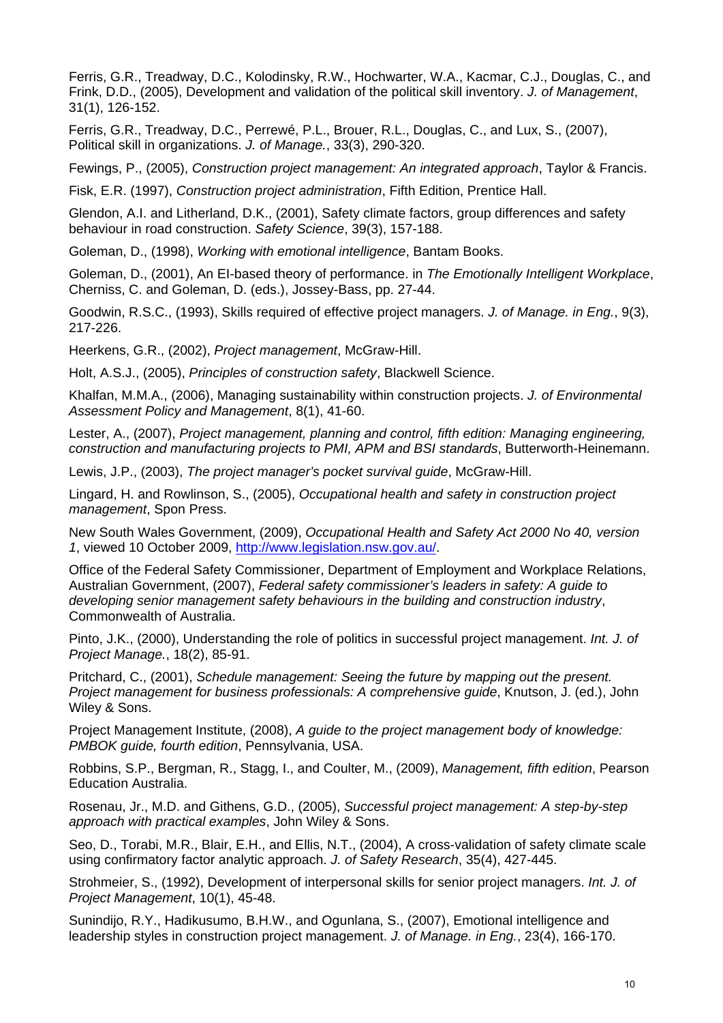Ferris, G.R., Treadway, D.C., Kolodinsky, R.W., Hochwarter, W.A., Kacmar, C.J., Douglas, C., and Frink, D.D., (2005), Development and validation of the political skill inventory. *J. of Management*, 31(1), 126-152.

Ferris, G.R., Treadway, D.C., Perrewé, P.L., Brouer, R.L., Douglas, C., and Lux, S., (2007), Political skill in organizations. *J. of Manage.*, 33(3), 290-320.

Fewings, P., (2005), *Construction project management: An integrated approach*, Taylor & Francis.

Fisk, E.R. (1997), *Construction project administration*, Fifth Edition, Prentice Hall.

Glendon, A.I. and Litherland, D.K., (2001), Safety climate factors, group differences and safety behaviour in road construction. *Safety Science*, 39(3), 157-188.

Goleman, D., (1998), *Working with emotional intelligence*, Bantam Books.

Goleman, D., (2001), An EI-based theory of performance. in *The Emotionally Intelligent Workplace*, Cherniss, C. and Goleman, D. (eds.), Jossey-Bass, pp. 27-44.

Goodwin, R.S.C., (1993), Skills required of effective project managers. *J. of Manage. in Eng.*, 9(3), 217-226.

Heerkens, G.R., (2002), *Project management*, McGraw-Hill.

Holt, A.S.J., (2005), *Principles of construction safety*, Blackwell Science.

Khalfan, M.M.A., (2006), Managing sustainability within construction projects. *J. of Environmental Assessment Policy and Management*, 8(1), 41-60.

Lester, A., (2007), *Project management, planning and control, fifth edition: Managing engineering, construction and manufacturing projects to PMI, APM and BSI standards*, Butterworth-Heinemann.

Lewis, J.P., (2003), *The project manager's pocket survival guide*, McGraw-Hill.

Lingard, H. and Rowlinson, S., (2005), *Occupational health and safety in construction project management*, Spon Press.

New South Wales Government, (2009), *Occupational Health and Safety Act 2000 No 40, version 1*, viewed 10 October 2009, http://www.legislation.nsw.gov.au/.

Office of the Federal Safety Commissioner, Department of Employment and Workplace Relations, Australian Government, (2007), *Federal safety commissioner's leaders in safety: A guide to developing senior management safety behaviours in the building and construction industry*, Commonwealth of Australia.

Pinto, J.K., (2000), Understanding the role of politics in successful project management. *Int. J. of Project Manage.*, 18(2), 85-91.

Pritchard, C., (2001), *Schedule management: Seeing the future by mapping out the present. Project management for business professionals: A comprehensive guide*, Knutson, J. (ed.), John Wiley & Sons.

Project Management Institute, (2008), *A guide to the project management body of knowledge: PMBOK guide, fourth edition*, Pennsylvania, USA.

Robbins, S.P., Bergman, R., Stagg, I., and Coulter, M., (2009), *Management, fifth edition*, Pearson Education Australia.

Rosenau, Jr., M.D. and Githens, G.D., (2005), *Successful project management: A step-by-step approach with practical examples*, John Wiley & Sons.

Seo, D., Torabi, M.R., Blair, E.H., and Ellis, N.T., (2004), A cross-validation of safety climate scale using confirmatory factor analytic approach. *J. of Safety Research*, 35(4), 427-445.

Strohmeier, S., (1992), Development of interpersonal skills for senior project managers. *Int. J. of Project Management*, 10(1), 45-48.

Sunindijo, R.Y., Hadikusumo, B.H.W., and Ogunlana, S., (2007), Emotional intelligence and leadership styles in construction project management. *J. of Manage. in Eng.*, 23(4), 166-170.